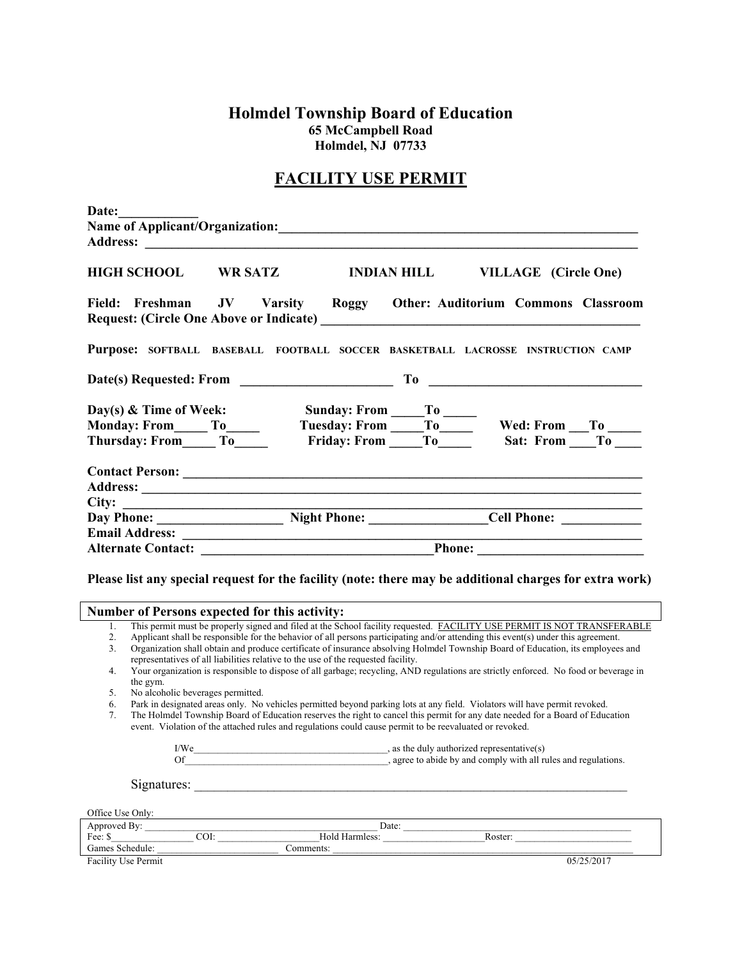**Holmdel Township Board of Education 65 McCampbell Road Holmdel, NJ 07733** 

## **FACILITY USE PERMIT**

| Date:                                                    |                                                                                                                                                                                                                      |                     |  |                                                                                                                                      |  |
|----------------------------------------------------------|----------------------------------------------------------------------------------------------------------------------------------------------------------------------------------------------------------------------|---------------------|--|--------------------------------------------------------------------------------------------------------------------------------------|--|
|                                                          |                                                                                                                                                                                                                      |                     |  |                                                                                                                                      |  |
|                                                          |                                                                                                                                                                                                                      |                     |  |                                                                                                                                      |  |
| <b>HIGH SCHOOL</b>                                       |                                                                                                                                                                                                                      | WR SATZ MODIAN HILL |  | <b>VILLAGE</b> (Circle One)                                                                                                          |  |
|                                                          |                                                                                                                                                                                                                      |                     |  | Field: Freshman JV Varsity Roggy Other: Auditorium Commons Classroom                                                                 |  |
|                                                          |                                                                                                                                                                                                                      |                     |  | Purpose: SOFTBALL BASEBALL FOOTBALL SOCCER BASKETBALL LACROSSE INSTRUCTION CAMP                                                      |  |
|                                                          |                                                                                                                                                                                                                      |                     |  |                                                                                                                                      |  |
|                                                          |                                                                                                                                                                                                                      |                     |  | Sunday: From To Wed: From To Wed: From To                                                                                            |  |
|                                                          |                                                                                                                                                                                                                      |                     |  |                                                                                                                                      |  |
| Thursday: From________ To_______                         |                                                                                                                                                                                                                      |                     |  | Friday: From To Sat: From To                                                                                                         |  |
|                                                          |                                                                                                                                                                                                                      |                     |  |                                                                                                                                      |  |
|                                                          |                                                                                                                                                                                                                      |                     |  |                                                                                                                                      |  |
|                                                          |                                                                                                                                                                                                                      |                     |  |                                                                                                                                      |  |
|                                                          |                                                                                                                                                                                                                      |                     |  | City: <u>Day Phone: Night Phone: Cell Phone:</u>                                                                                     |  |
|                                                          |                                                                                                                                                                                                                      |                     |  |                                                                                                                                      |  |
|                                                          |                                                                                                                                                                                                                      |                     |  |                                                                                                                                      |  |
|                                                          |                                                                                                                                                                                                                      |                     |  |                                                                                                                                      |  |
|                                                          |                                                                                                                                                                                                                      |                     |  | Please list any special request for the facility (note: there may be additional charges for extra work)                              |  |
| <b>Number of Persons expected for this activity:</b>     |                                                                                                                                                                                                                      |                     |  |                                                                                                                                      |  |
| 1.                                                       |                                                                                                                                                                                                                      |                     |  | This permit must be properly signed and filed at the School facility requested. FACILITY USE PERMIT IS NOT TRANSFERABLE              |  |
| 2.<br>3.                                                 |                                                                                                                                                                                                                      |                     |  | Applicant shall be responsible for the behavior of all persons participating and/or attending this event(s) under this agreement.    |  |
|                                                          | Organization shall obtain and produce certificate of insurance absolving Holmdel Township Board of Education, its employees and<br>representatives of all liabilities relative to the use of the requested facility. |                     |  |                                                                                                                                      |  |
| $\overline{4}$ .                                         |                                                                                                                                                                                                                      |                     |  | Your organization is responsible to dispose of all garbage; recycling, AND regulations are strictly enforced. No food or beverage in |  |
| the gym.<br>No elected is however as normitted<br>$\sim$ |                                                                                                                                                                                                                      |                     |  |                                                                                                                                      |  |

5. No alcoholic beverages permitted.

6. Park in designated areas only. No vehicles permitted beyond parking lots at any field. Violators will have permit revoked.

7. The Holmdel Township Board of Education reserves the right to cancel this permit for any date needed for a Board of Education event. Violation of the attached rules and regulations could cause permit to be reevaluated or revoked.

| I/We        | , as the duly authorized representative(s)<br>, agree to abide by and comply with all rules and regulations. |
|-------------|--------------------------------------------------------------------------------------------------------------|
| Signatures: |                                                                                                              |

| Office Use Only:    |      |                |         |            |
|---------------------|------|----------------|---------|------------|
| Approved By:        |      | Date:          |         |            |
| Fee: \$             | COI: | Hold Harmless: | Roster: |            |
| Games Schedule:     |      | Comments:      |         |            |
| Facility Use Permit |      |                |         | 05/25/2017 |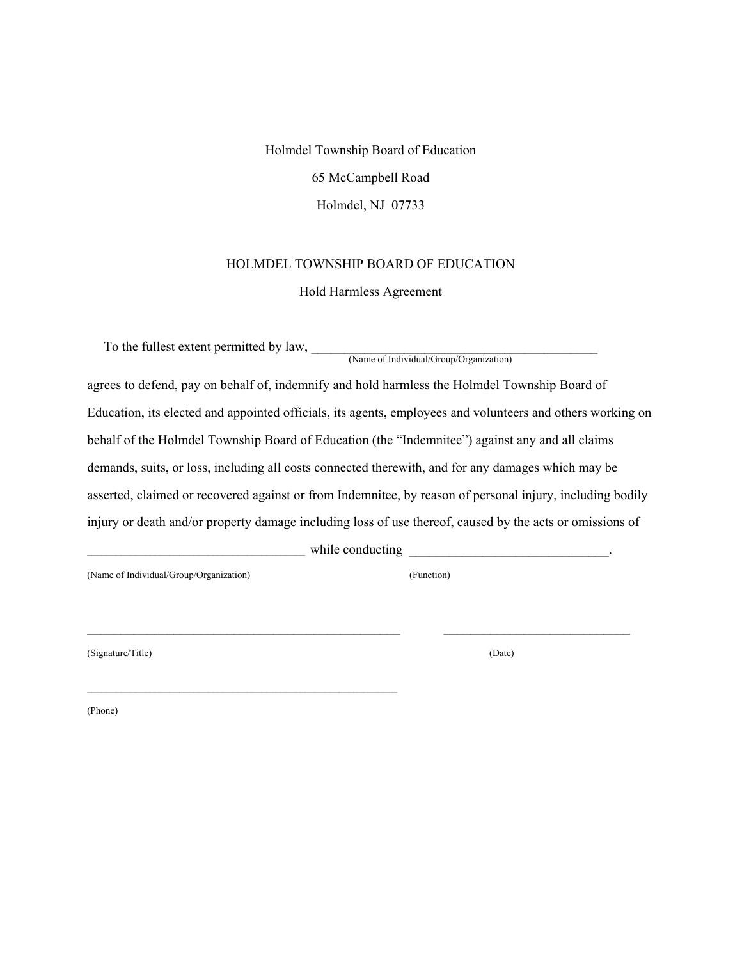Holmdel Township Board of Education 65 McCampbell Road Holmdel, NJ 07733

## HOLMDEL TOWNSHIP BOARD OF EDUCATION

Hold Harmless Agreement

To the fullest extent permitted by law, \_\_\_\_\_\_\_\_\_\_\_\_\_\_\_\_\_\_\_\_\_\_\_\_\_\_\_\_\_\_\_\_\_\_\_\_\_\_\_\_\_\_\_ (Name of Individual/Group/Organization)

agrees to defend, pay on behalf of, indemnify and hold harmless the Holmdel Township Board of Education, its elected and appointed officials, its agents, employees and volunteers and others working on behalf of the Holmdel Township Board of Education (the "Indemnitee") against any and all claims demands, suits, or loss, including all costs connected therewith, and for any damages which may be asserted, claimed or recovered against or from Indemnitee, by reason of personal injury, including bodily injury or death and/or property damage including loss of use thereof, caused by the acts or omissions of

while conducting

(Name of Individual/Group/Organization) (Function)

(Signature/Title) (Date)

(Phone)